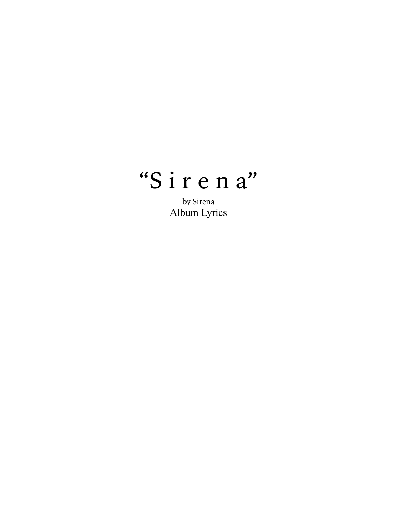# "Sirena"

by Sirena Album Lyrics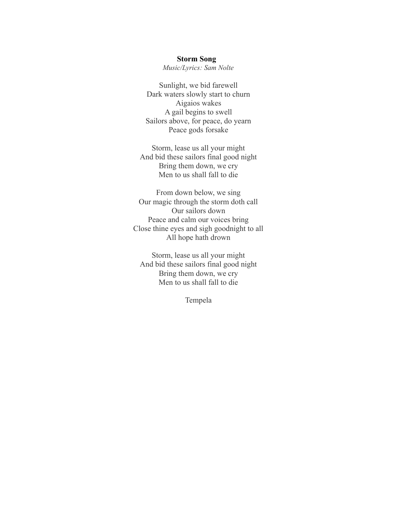#### **Storm Song**

*Music/Lyrics: Sam Nolte*

Sunlight, we bid farewell Dark waters slowly start to churn Aigaios wakes A gail begins to swell Sailors above, for peace, do yearn Peace gods forsake

Storm, lease us all your might And bid these sailors final good night Bring them down, we cry Men to us shall fall to die

From down below, we sing Our magic through the storm doth call Our sailors down Peace and calm our voices bring Close thine eyes and sigh goodnight to all All hope hath drown

Storm, lease us all your might And bid these sailors final good night Bring them down, we cry Men to us shall fall to die

Tempela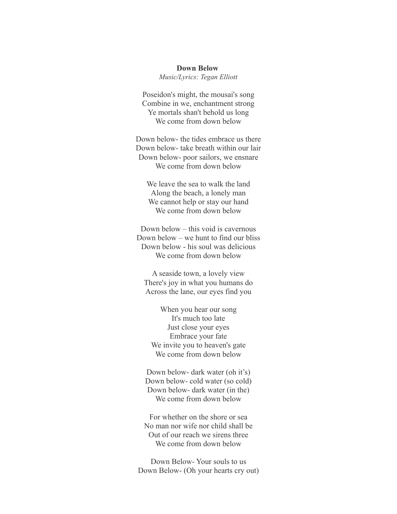#### **Down Below**

*Music/Lyrics: Tegan Elliott*

Poseidon's might, the mousai's song Combine in we, enchantment strong Ye mortals shan't behold us long We come from down below

Down below- the tides embrace us there Down below- take breath within our lair Down below- poor sailors, we ensnare We come from down below

We leave the sea to walk the land Along the beach, a lonely man We cannot help or stay our hand We come from down below

Down below – this void is cavernous Down below – we hunt to find our bliss Down below - his soul was delicious We come from down below

A seaside town, a lovely view There's joy in what you humans do Across the lane, our eyes find you

When you hear our song It's much too late Just close your eyes Embrace your fate We invite you to heaven's gate We come from down below

Down below- dark water (oh it's) Down below- cold water (so cold) Down below- dark water (in the) We come from down below

For whether on the shore or sea No man nor wife nor child shall be Out of our reach we sirens three We come from down below

Down Below- Your souls to us Down Below- (Oh your hearts cry out)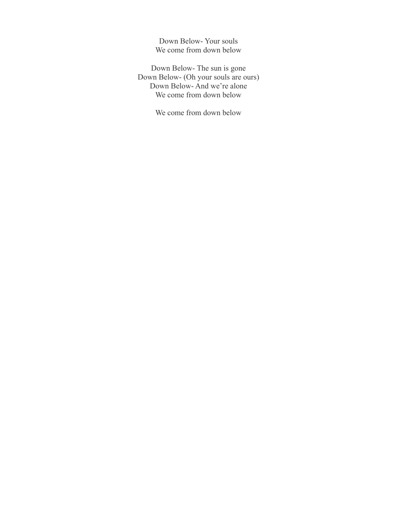Down Below- Your souls We come from down below

Down Below- The sun is gone Down Below- (Oh your souls are ours) Down Below- And we're alone We come from down below

We come from down below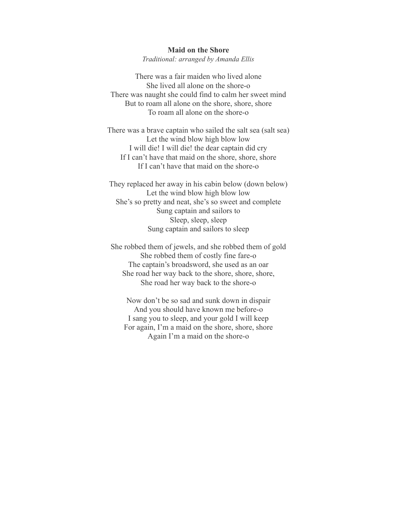### **Maid on the Shore**

*Traditional: arranged by Amanda Ellis*

There was a fair maiden who lived alone She lived all alone on the shore-o There was naught she could find to calm her sweet mind But to roam all alone on the shore, shore, shore To roam all alone on the shore-o

There was a brave captain who sailed the salt sea (salt sea) Let the wind blow high blow low I will die! I will die! the dear captain did cry If I can't have that maid on the shore, shore, shore If I can't have that maid on the shore-o

They replaced her away in his cabin below (down below) Let the wind blow high blow low She's so pretty and neat, she's so sweet and complete Sung captain and sailors to Sleep, sleep, sleep Sung captain and sailors to sleep

She robbed them of jewels, and she robbed them of gold She robbed them of costly fine fare-o The captain's broadsword, she used as an oar She road her way back to the shore, shore, shore, She road her way back to the shore-o

Now don't be so sad and sunk down in dispair And you should have known me before-o I sang you to sleep, and your gold I will keep For again, I'm a maid on the shore, shore, shore Again I'm a maid on the shore-o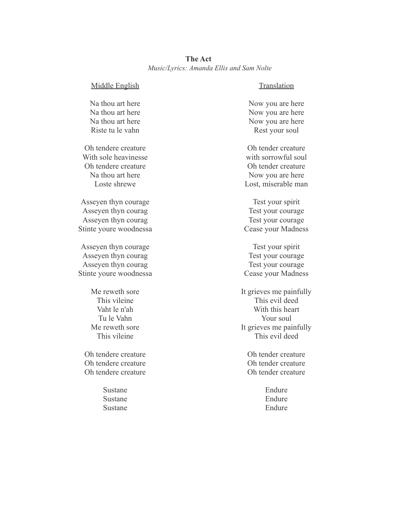| <b>The Act</b>                           |  |  |  |
|------------------------------------------|--|--|--|
| Music/Lyrics: Amanda Ellis and Sam Nolte |  |  |  |

Middle English

Na thou art here Na thou art here Na thou art here Riste tu le vahn

Oh tendere creature With sole heavinesse Oh tendere creature Na thou art here Loste shrewe

Asseyen thyn courage Asseyen thyn courag Asseyen thyn courag Stinte youre woodnessa

Asseyen thyn courage Asseyen thyn courag Asseyen thyn courag Stinte youre woodnessa

> Me reweth sore This vileine Vaht le n'ah Tu le Vahn Me reweth sore This vileine

Oh tendere creature Oh tendere creature Oh tendere creature

> Sustane Sustane Sustane

### Translation

Now you are here Now you are here Now you are here Rest your soul

Oh tender creature with sorrowful soul Oh tender creature Now you are here Lost, miserable man

Test your spirit Test your courage Test your courage Cease your Madness

Test your spirit Test your courage Test your courage Cease your Madness

It grieves me painfully This evil deed With this heart Your soul It grieves me painfully This evil deed

Oh tender creature Oh tender creature Oh tender creature

> Endure Endure Endure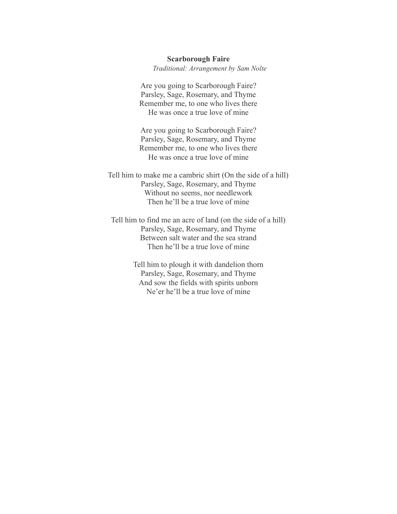## **Scarborough Faire** *Traditional: Arrangement by Sam Nolte*

Are you going to Scarborough Faire? Parsley, Sage, Rosemary, and Thyme Remember me, to one who lives there He was once a true love of mine

Are you going to Scarborough Faire? Parsley, Sage, Rosemary, and Thyme Remember me, to one who lives there He was once a true love of mine

Tell him to make me a cambric shirt (On the side of a hill) Parsley, Sage, Rosemary, and Thyme Without no seems, nor needlework Then he'll be a true love of mine

Tell him to find me an acre of land (on the side of a hill) Parsley, Sage, Rosemary, and Thyme Between salt water and the sea strand Then he'll be a true love of mine

> Tell him to plough it with dandelion thorn Parsley, Sage, Rosemary, and Thyme And sow the fields with spirits unborn Ne'er he'll be a true love of mine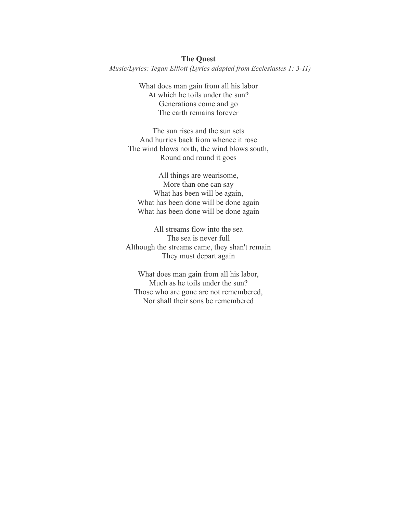# **The Quest** *Music/Lyrics: Tegan Elliott (Lyrics adapted from Ecclesiastes 1: 3-11)*

What does man gain from all his labor At which he toils under the sun? Generations come and go The earth remains forever

The sun rises and the sun sets And hurries back from whence it rose The wind blows north, the wind blows south, Round and round it goes

All things are wearisome, More than one can say What has been will be again, What has been done will be done again What has been done will be done again

All streams flow into the sea The sea is never full Although the streams came, they shan't remain They must depart again

What does man gain from all his labor, Much as he toils under the sun? Those who are gone are not remembered, Nor shall their sons be remembered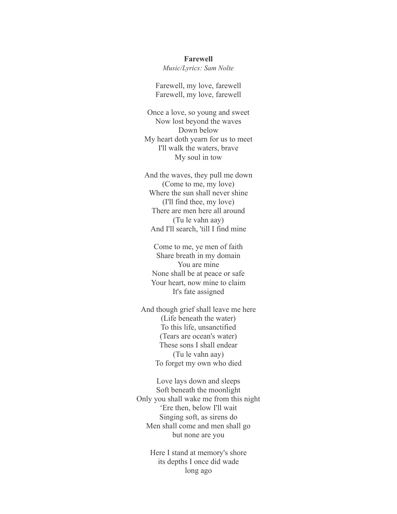#### **Farewell**

*Music/Lyrics: Sam Nolte*

Farewell, my love, farewell Farewell, my love, farewell

Once a love, so young and sweet Now lost beyond the waves Down below My heart doth yearn for us to meet I'll walk the waters, brave My soul in tow

And the waves, they pull me down (Come to me, my love) Where the sun shall never shine (I'll find thee, my love) There are men here all around (Tu le vahn aay) And I'll search, 'till I find mine

Come to me, ye men of faith Share breath in my domain You are mine None shall be at peace or safe Your heart, now mine to claim It's fate assigned

And though grief shall leave me here (Life beneath the water) To this life, unsanctified (Tears are ocean's water) These sons I shall endear (Tu le vahn aay) To forget my own who died

Love lays down and sleeps Soft beneath the moonlight Only you shall wake me from this night 'Ere then, below I'll wait Singing soft, as sirens do Men shall come and men shall go but none are you

> Here I stand at memory's shore its depths I once did wade long ago